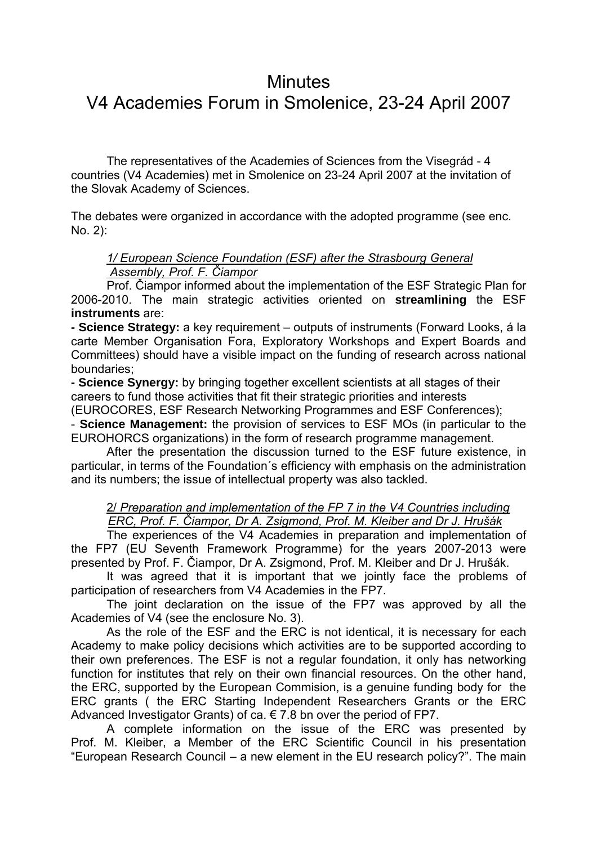# **Minutes**

# V4 Academies Forum in Smolenice, 23-24 April 2007

 The representatives of the Academies of Sciences from the Visegrád - 4 countries (V4 Academies) met in Smolenice on 23-24 April 2007 at the invitation of the Slovak Academy of Sciences.

The debates were organized in accordance with the adopted programme (see enc. No. 2):

#### *1/ European Science Foundation (ESF) after the Strasbourg General Assembly, Prof. F. Čiampor*

Prof. Čiampor informed about the implementation of the ESF Strategic Plan for 2006-2010. The main strategic activities oriented on **streamlining** the ESF **instruments** are:

**- Science Strategy:** a key requirement – outputs of instruments (Forward Looks, á la carte Member Organisation Fora, Exploratory Workshops and Expert Boards and Committees) should have a visible impact on the funding of research across national boundaries;

**- Science Synergy:** by bringing together excellent scientists at all stages of their careers to fund those activities that fit their strategic priorities and interests

(EUROCORES, ESF Research Networking Programmes and ESF Conferences);

- **Science Management:** the provision of services to ESF MOs (in particular to the EUROHORCS organizations) in the form of research programme management.

After the presentation the discussion turned to the ESF future existence, in particular, in terms of the Foundation´s efficiency with emphasis on the administration and its numbers; the issue of intellectual property was also tackled.

 2/ *Preparation and implementation of the FP 7 in the V4 Countries including ERC, Prof. F. Čiampor, Dr A. Zsigmond, Prof. M. Kleiber and Dr J. Hrušák*

The experiences of the V4 Academies in preparation and implementation of the FP7 (EU Seventh Framework Programme) for the years 2007-2013 were presented by Prof. F. Čiampor, Dr A. Zsigmond, Prof. M. Kleiber and Dr J. Hrušák.

 It was agreed that it is important that we jointly face the problems of participation of researchers from V4 Academies in the FP7.

 The joint declaration on the issue of the FP7 was approved by all the Academies of V4 (see the enclosure No. 3).

 As the role of the ESF and the ERC is not identical, it is necessary for each Academy to make policy decisions which activities are to be supported according to their own preferences. The ESF is not a regular foundation, it only has networking function for institutes that rely on their own financial resources. On the other hand, the ERC, supported by the European Commision, is a genuine funding body for the ERC grants ( the ERC Starting Independent Researchers Grants or the ERC Advanced Investigator Grants) of ca.  $\epsilon$  7.8 bn over the period of FP7.

A complete information on the issue of the ERC was presented by Prof. M. Kleiber, a Member of the ERC Scientific Council in his presentation "European Research Council – a new element in the EU research policy?". The main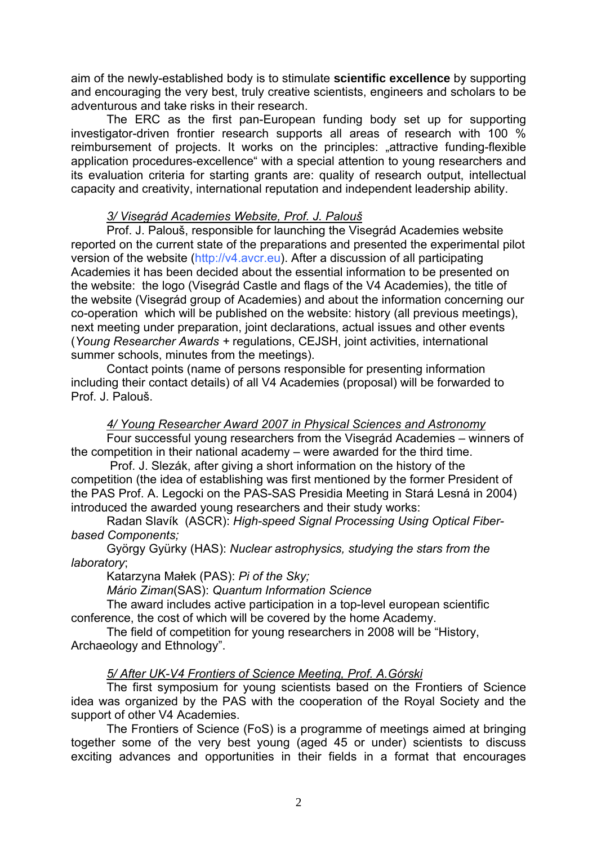aim of the newly-established body is to stimulate **scientific excellence** by supporting and encouraging the very best, truly creative scientists, engineers and scholars to be adventurous and take risks in their research.

The ERC as the first pan-European funding body set up for supporting investigator-driven frontier research supports all areas of research with 100 % reimbursement of projects. It works on the principles: "attractive funding-flexible application procedures-excellence" with a special attention to young researchers and its evaluation criteria for starting grants are: quality of research output, intellectual capacity and creativity, international reputation and independent leadership ability.

## *3/ Visegrád Academies Website, Prof. J. Palouš*

Prof. J. Palouš, responsible for launching the Visegrád Academies website reported on the current state of the preparations and presented the experimental pilot version of the website (http://v4.avcr.eu). After a discussion of all participating Academies it has been decided about the essential information to be presented on the website: the logo (Visegrád Castle and flags of the V4 Academies), the title of the website (Visegrád group of Academies) and about the information concerning our co-operation which will be published on the website: history (all previous meetings), next meeting under preparation, joint declarations, actual issues and other events (*Young Researcher Awards +* regulations, CEJSH, joint activities, international summer schools, minutes from the meetings).

Contact points (name of persons responsible for presenting information including their contact details) of all V4 Academies (proposal) will be forwarded to Prof. J. Palouš.

#### *4/ Young Researcher Award 2007 in Physical Sciences and Astronomy*

Four successful young researchers from the Visegrád Academies – winners of the competition in their national academy – were awarded for the third time.

 Prof. J. Slezák, after giving a short information on the history of the competition (the idea of establishing was first mentioned by the former President of the PAS Prof. A. Legocki on the PAS-SAS Presidia Meeting in Stará Lesná in 2004) introduced the awarded young researchers and their study works:

 Radan Slavík (ASCR): *High-speed Signal Processing Using Optical Fiberbased Components;*

 György Gyürky (HAS): *Nuclear astrophysics, studying the stars from the laboratory*;

Katarzyna Małek (PAS): *Pi of the Sky;*

*Mário Ziman*(SAS): *Quantum Information Science* 

 The award includes active participation in a top-level european scientific conference, the cost of which will be covered by the home Academy.

 The field of competition for young researchers in 2008 will be "History, Archaeology and Ethnology".

#### *5/ After UK-V4 Frontiers of Science Meeting, Prof. A.Górski*

The first symposium for young scientists based on the Frontiers of Science idea was organized by the PAS with the cooperation of the Royal Society and the support of other V4 Academies.

The Frontiers of Science (FoS) is a programme of meetings aimed at bringing together some of the very best young (aged 45 or under) scientists to discuss exciting advances and opportunities in their fields in a format that encourages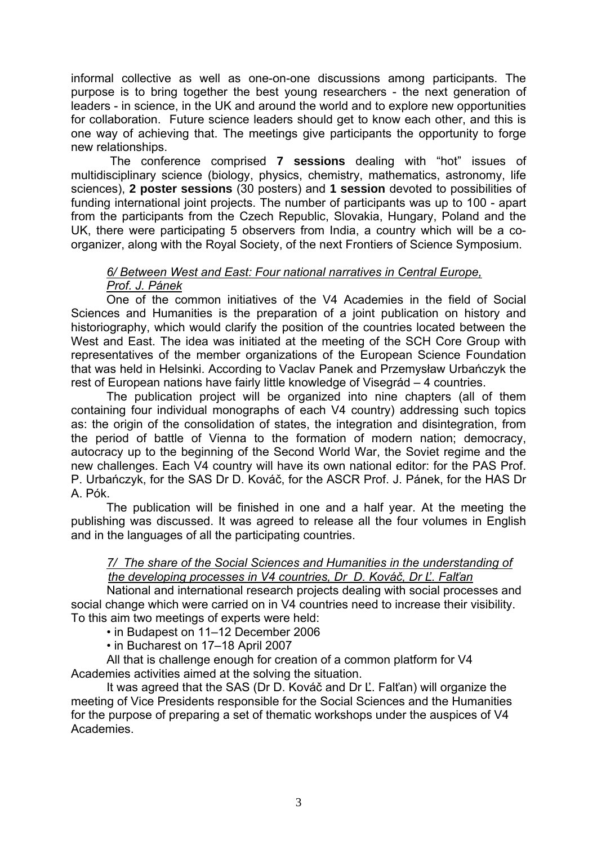informal collective as well as one-on-one discussions among participants. The purpose is to bring together the best young researchers - the next generation of leaders - in science, in the UK and around the world and to explore new opportunities for collaboration. Future science leaders should get to know each other, and this is one way of achieving that. The meetings give participants the opportunity to forge new relationships.

 The conference comprised **7 sessions** dealing with "hot" issues of multidisciplinary science (biology, physics, chemistry, mathematics, astronomy, life sciences), **2 poster sessions** (30 posters) and **1 session** devoted to possibilities of funding international joint projects. The number of participants was up to 100 - apart from the participants from the Czech Republic, Slovakia, Hungary, Poland and the UK, there were participating 5 observers from India, a country which will be a coorganizer, along with the Royal Society, of the next Frontiers of Science Symposium.

### *6/ Between West and East: Four national narratives in Central Europe, Prof. J. Pánek*

One of the common initiatives of the V4 Academies in the field of Social Sciences and Humanities is the preparation of a joint publication on history and historiography, which would clarify the position of the countries located between the West and East. The idea was initiated at the meeting of the SCH Core Group with representatives of the member organizations of the European Science Foundation that was held in Helsinki. According to Vaclav Panek and Przemysław Urbańczyk the rest of European nations have fairly little knowledge of Visegrád – 4 countries.

The publication project will be organized into nine chapters (all of them containing four individual monographs of each V4 country) addressing such topics as: the origin of the consolidation of states, the integration and disintegration, from the period of battle of Vienna to the formation of modern nation; democracy, autocracy up to the beginning of the Second World War, the Soviet regime and the new challenges. Each V4 country will have its own national editor: for the PAS Prof. P. Urbańczyk, for the SAS Dr D. Kováč, for the ASCR Prof. J. Pánek, for the HAS Dr A. Pók.

The publication will be finished in one and a half year. At the meeting the publishing was discussed. It was agreed to release all the four volumes in English and in the languages of all the participating countries.

#### *7/ The share of the Social Sciences and Humanities in the understanding of the developing processes in V4 countries, Dr D. Kováč, Dr Ľ. Falťan*

National and international research projects dealing with social processes and social change which were carried on in V4 countries need to increase their visibility. To this aim two meetings of experts were held:

• in Budapest on 11–12 December 2006

• in Bucharest on 17–18 April 2007

 All that is challenge enough for creation of a common platform for V4 Academies activities aimed at the solving the situation.

It was agreed that the SAS (Dr D. Kováč and Dr Ľ. Falťan) will organize the meeting of Vice Presidents responsible for the Social Sciences and the Humanities for the purpose of preparing a set of thematic workshops under the auspices of V4 Academies.